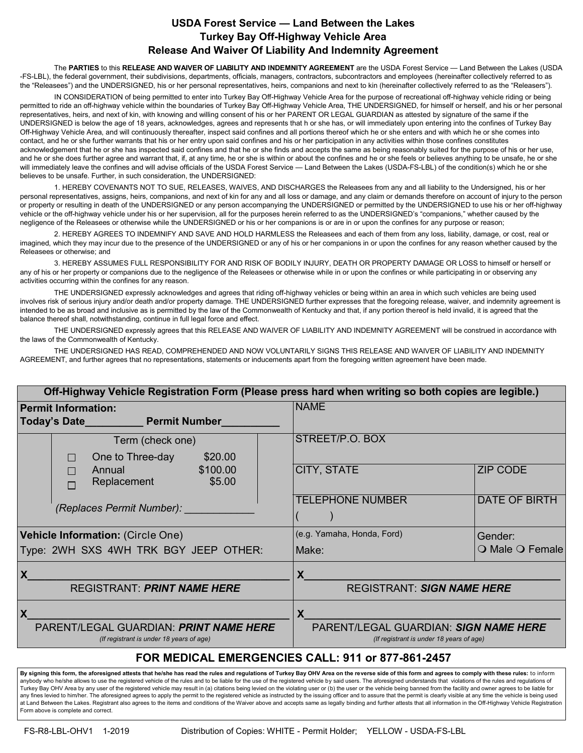## **USDA Forest Service — Land Between the Lakes Turkey Bay Off-Highway Vehicle Area Release And Waiver Of Liability And Indemnity Agreement**

The **PARTIES** to this **RELEASE AND WAIVER OF LIABILITY AND INDEMNITY AGREEMENT** are the USDA Forest Service — Land Between the Lakes (USDA -FS-LBL), the federal government, their subdivisions, departments, officials, managers, contractors, subcontractors and employees (hereinafter collectively referred to as the "Releasees") and the UNDERSIGNED, his or her personal representatives, heirs, companions and next to kin (hereinafter collectively referred to as the "Releasers").

IN CONSIDERATION of being permitted to enter into Turkey Bay Off-Highway Vehicle Area for the purpose of recreational off-highway vehicle riding or being permitted to ride an off-highway vehicle within the boundaries of Turkey Bay Off-Highway Vehicle Area, THE UNDERSIGNED, for himself or herself, and his or her personal representatives, heirs, and next of kin, with knowing and willing consent of his or her PARENT OR LEGAL GUARDIAN as attested by signature of the same if the UNDERSIGNED is below the age of 18 years, acknowledges, agrees and represents that h or she has, or will immediately upon entering into the confines of Turkey Bay Off-Highway Vehicle Area, and will continuously thereafter, inspect said confines and all portions thereof which he or she enters and with which he or she comes into contact, and he or she further warrants that his or her entry upon said confines and his or her participation in any activities within those confines constitutes acknowledgement that he or she has inspected said confines and that he or she finds and accepts the same as being reasonably suited for the purpose of his or her use, and he or she does further agree and warrant that, if, at any time, he or she is within or about the confines and he or she feels or believes anything to be unsafe, he or she will immediately leave the confines and will advise officials of the USDA Forest Service — Land Between the Lakes (USDA-FS-LBL) of the condition(s) which he or she believes to be unsafe. Further, in such consideration, the UNDERSIGNED:

1. HEREBY COVENANTS NOT TO SUE, RELEASES, WAIVES, AND DISCHARGES the Releasees from any and all liability to the Undersigned, his or her personal representatives, assigns, heirs, companions, and next of kin for any and all loss or damage, and any claim or demands therefore on account of injury to the person or property or resulting in death of the UNDERSIGNED or any person accompanying the UNDERSIGNED or permitted by the UNDERSIGNED to use his or her off-highway vehicle or the off-highway vehicle under his or her supervision, all for the purposes herein referred to as the UNDERSIGNED's "companions," whether caused by the negligence of the Releasees or otherwise while the UNDERSIGNED or his or her companions is or are in or upon the confines for any purpose or reason;

2. HEREBY AGREES TO INDEMNIFY AND SAVE AND HOLD HARMLESS the Releasees and each of them from any loss, liability, damage, or cost, real or imagined, which they may incur due to the presence of the UNDERSIGNED or any of his or her companions in or upon the confines for any reason whether caused by the Releasees or otherwise; and

3. HEREBY ASSUMES FULL RESPONSIBILITY FOR AND RISK OF BODILY INJURY, DEATH OR PROPERTY DAMAGE OR LOSS to himself or herself or any of his or her property or companions due to the negligence of the Releasees or otherwise while in or upon the confines or while participating in or observing any activities occurring within the confines for any reason.

THE UNDERSIGNED expressly acknowledges and agrees that riding off-highway vehicles or being within an area in which such vehicles are being used involves risk of serious injury and/or death and/or property damage. THE UNDERSIGNED further expresses that the foregoing release, waiver, and indemnity agreement is intended to be as broad and inclusive as is permitted by the law of the Commonwealth of Kentucky and that, if any portion thereof is held invalid, it is agreed that the balance thereof shall, notwithstanding, continue in full legal force and effect.

THE UNDERSIGNED expressly agrees that this RELEASE AND WAIVER OF LIABILITY AND INDEMNITY AGREEMENT will be construed in accordance with the laws of the Commonwealth of Kentucky.

THE UNDERSIGNED HAS READ, COMPREHENDED AND NOW VOLUNTARILY SIGNS THIS RELEASE AND WAIVER OF LIABILITY AND INDEMNITY AGREEMENT, and further agrees that no representations, statements or inducements apart from the foregoing written agreement have been made.

| Off-Highway Vehicle Registration Form (Please press hard when writing so both copies are legible.) |                                                                                   |                      |
|----------------------------------------------------------------------------------------------------|-----------------------------------------------------------------------------------|----------------------|
| <b>Permit Information:</b>                                                                         | <b>NAME</b>                                                                       |                      |
| Today's Date <b>National Permit Number</b>                                                         |                                                                                   |                      |
| Term (check one)                                                                                   | STREET/P.O. BOX                                                                   |                      |
| \$20.00<br>One to Three-day                                                                        |                                                                                   |                      |
| \$100.00<br>Annual<br>П<br>Replacement<br>\$5.00<br>П                                              | <b>CITY, STATE</b>                                                                | <b>ZIP CODE</b>      |
| (Replaces Permit Number):                                                                          | <b>TELEPHONE NUMBER</b>                                                           | <b>DATE OF BIRTH</b> |
| Vehicle Information: (Circle One)                                                                  | (e.g. Yamaha, Honda, Ford)                                                        | Gender:              |
| Type: 2WH SXS 4WH TRK BGY JEEP OTHER:                                                              | Make:                                                                             | O Male O Female      |
| X                                                                                                  | X                                                                                 |                      |
| <b>REGISTRANT: PRINT NAME HERE</b>                                                                 | <b>REGISTRANT: SIGN NAME HERE</b>                                                 |                      |
| X                                                                                                  | X                                                                                 |                      |
| PARENT/LEGAL GUARDIAN: PRINT NAME HERE<br>(If registrant is under 18 years of age)                 | PARENT/LEGAL GUARDIAN: SIGN NAME HERE<br>(If registrant is under 18 years of age) |                      |
| FOR MEDICAL EMERGENCIES CALL: 911 or 877-861-2457                                                  |                                                                                   |                      |

**By signing this form, the aforesigned attests that he/she has read the rules and regulations of Turkey Bay OHV Area on the reverse side of this form and agrees to comply with these rules:** to inform anybody who he/she allows to use the registered vehicle of the rules and to be liable for the use of the registered vehicle by said users. The aforesigned understands that violations of the rules and regulations of<br>Turkey any fines levied to him/her. The aforesigned agrees to apply the permit to the registered vehicle as instructed by the issuing officer and to assure that the permit is clearly visible at any time the vehicle is being used at Land Between the Lakes. Registrant also agrees to the items and conditions of the Waiver above and accepts same as legally binding and further attests that all information in the Off-Highway Vehicle Registration Form above is complete and correct.